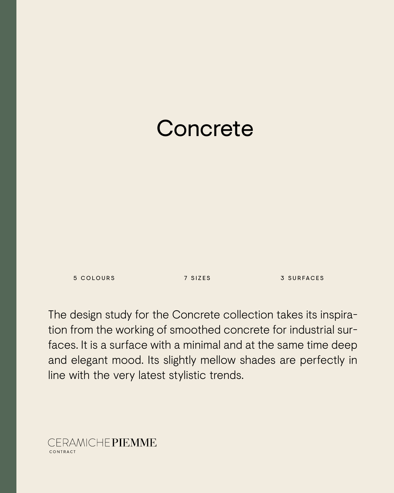# **Concrete**

5 COLOURS 7 SIZES 3 SURFACES

The design study for the Concrete collection takes its inspiration from the working of smoothed concrete for industrial surfaces. It is a surface with a minimal and at the same time deep and elegant mood. Its slightly mellow shades are perfectly in line with the very latest stylistic trends.

CERAMICHEPIEMME CONTRACT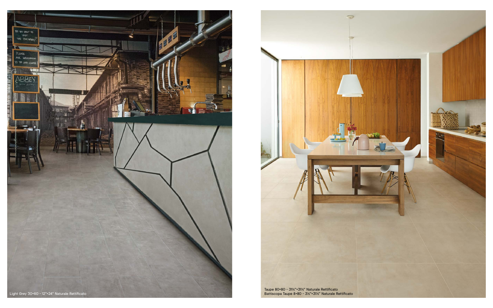

![](_page_1_Picture_0.jpeg)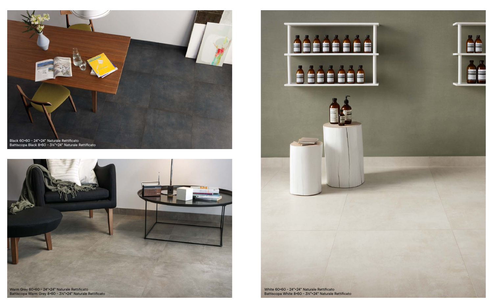![](_page_2_Picture_0.jpeg)

![](_page_2_Picture_1.jpeg)

![](_page_2_Picture_2.jpeg)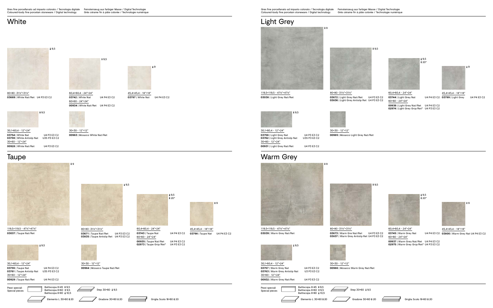Gres fine porcellanato ad impasto colorato / Tecnologia digitale Feinsteinzeug aus farbiger Masse / Digital Technologie Coloured-body fine porcelain stoneware / Digital technology Grès cérame fin à pâte colorée / Technologie numérique

#### **White**

 $+9,5$ 

![](_page_3_Picture_28.jpeg)

![](_page_3_Picture_6.jpeg)

45,4×45,4 - 18"×18" **03798** | Taupe Nat U4 P4 E3 C2

![](_page_3_Picture_22.jpeg)

 $\cdot$  9,5 20\*

 $\ddot{=}9$ 

![](_page_3_Picture_30.jpeg)

119,5×119,5 - 47%"×47%" **03038** | Light Grey Nat/Ret

![](_page_3_Picture_7.jpeg)

119,5×119,5 - 471%"×471%" **03037** | Taupe Nat/Ret

119,5×119,5 - 471%"×471%" **03039** | Warm Grey Nat/Ret

![](_page_3_Picture_29.jpeg)

30×30 - 12"×12"

**00983** | Mosaico White Nat/Ret

![](_page_3_Picture_15.jpeg)

45,4×45,4 - 18"×18" **03797** | White Nat U4 P4 E3 C2

 $*9,5$ 80×80 -31½"×31½" **03671** | Taupe Nat/Ret U4 P3 E3 C2 **03835** | Taupe Antislip Ret U4 P3 E3 C2 9,5  $*20*$ 60,4×60,4 - 24"×24" 60×60 - 24"×24" **00935** | Taupe Nat/Ret U4 P4 E3 C2<br>**02973** | Taupe Grip/Ret\* U4 P3 E3 C2 **02973** | Taupe Grip/Ret\*

![](_page_3_Picture_18.jpeg)

![](_page_3_Picture_19.jpeg)

#### Warm Grey

![](_page_3_Picture_35.jpeg)

45,4×45,4 - 18"×18" **03799** | Light Grey U4 P4 E3 C2

![](_page_3_Picture_39.jpeg)

80×80 -31½"×31½" **03672** | Light Grey Nat/Ret U4 P3 E3 C2 **03836** | Light Grey Antislip Ret U4 P3 E3 C2

![](_page_3_Picture_41.jpeg)

30×30 - 12"×12" **00985** | Mosaico Light Grey Nat/Ret

![](_page_3_Picture_13.jpeg)

60,4×60,4 - 24"×24" **03742** | White Nat U4 P4 E3 C2 60×60 - 24"×24" **00934** | White Nat/Ret U4 P4 E3 C2

9

80×80 -31½"×31½" **03669** | White Nat/Ret U4 P3 E3 C2

![](_page_3_Picture_4.jpeg)

30,1×60,4 - 12"×24" **03754** | White Nat U4 P3 E3 C2<br>**03759** | White Antislip Nat U3S P3 E3 C2 **03759** | White Antislip Nat 30×60 - 12"×24" **00928** | White Nat/Ret U4 P3 E3 C2

80×80 -31½"×31½" **03673** | Warm Gre Nat/Ret U4 P3 E3 C2 **03837** | Warm Grey Antislip Ret U4 P3 E3 C2

![](_page_3_Picture_44.jpeg)

9

![](_page_3_Picture_20.jpeg)

Step  $30*60 \pm 9,5$ 

Elemento L 30×60 + 20 <u>20 10</u> Gradone 30×60 + 20 5 Griglia Scolo 18×60 + 20

**03743** | Taupe Nat U4 P4 E3 C2

![](_page_3_Picture_9.jpeg)

30,1×60,4 - 12"×24" **03755** | Taupe Nat U4 P4 E3 C2<br>**03761** | Taupe Antislip Nat U3S P3 E3 C2 **03761** | Taupe Antislip Nat 30×60 - 12"×24" **00929** | Taupe Nat/Ret U4 P4 E3 C2

> Battiscopa 8×45 ₹ 9,5 Battiscopa  $8\times 60$   $\pm 9.5$ Battiscopa  $8 \times 80 + 10.5$

![](_page_3_Picture_49.jpeg)

**03800** | Warm Grey Nat U4 P4 E3 C2

![](_page_3_Picture_51.jpeg)

![](_page_3_Picture_46.jpeg)

60,4×60,4 - 24"×24" **03745** | Warm Grey Nat 60×60 - 24"×24"

**00937** | Warm Grey Nat/Ret U4 P4 E3 C2 **02975** | Warm Grey Grip/Ret\* U4 P3 E3 C2 9,5

> 30×30 - 12"×12" **00986** | Mosaico Warm Grey Nat/Ret

> > $\equiv$  Step 30×60  $\pm$  9,5

![](_page_3_Picture_55.jpeg)

![](_page_3_Picture_24.jpeg)

**03757** | Warm Grey Nat U4 P3 E3 C2

Battiscopa  $8 \times 45$   $\div 9,5$ Battiscopa  $8\times 60$   $\pm 9,5$ Battiscopa  $8*80$   $\overline{x}$  10,5

| <b>03763</b>   Warm Grey Antislip Nat<br>30×60 - 12"×24" | U3 P3 E3 C2 |                                                |  |  |  |  |
|----------------------------------------------------------|-------------|------------------------------------------------|--|--|--|--|
| <b>00932</b>   Warm Grey Nat/Ret                         | U4 P3 E3 C2 |                                                |  |  |  |  |
| Pezzi speciali<br>Special pieces                         |             | Battiscopa 8×45 ½ 9,5<br>Battiscopa 8×60 + 9,5 |  |  |  |  |

![](_page_3_Picture_32.jpeg)

30,1×60,4 - 12"×24" **03756** | Light Grey Nat U4 P3 E3 C2 **03762** | Light Grey Antislip Nat 30×60 - 12"×24" **00931** | Light Grey Nat/Ret U4 P3 E3 C2

60,4×60,4 - 24"×24" **03744** | Light Grey Nat 60×60 - 24"×24"

**00936** | Light Grey Nat/Ret U4 P4 E3 C2 **02974** | Light Grey Grip/Ret\* U4 P3 E3 C2

Pezzi speciali Special pieces

![](_page_3_Picture_12.jpeg)

![](_page_3_Picture_26.jpeg)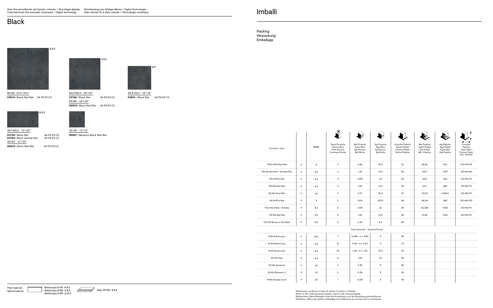Pezzi speciali Special pieces

Battiscopa  $8\times 45$   $\pm 9.5$ Battiscopa  $8×60$   $\overline{1}9,5$ 

![](_page_4_Picture_17.jpeg)

\*Note: In the ordering phase please check code and packaging<br>\*Bitteacthen: Beim Bestellen bitte die Kodenumer und die Verpackung kontrollieren<br>\*Attention : Merci de vérifier emballage et la référence au moment de la comman

![](_page_4_Picture_20.jpeg)

![](_page_4_Picture_21.jpeg)

![](_page_4_Picture_22.jpeg)

![](_page_4_Picture_23.jpeg)

![](_page_4_Picture_25.jpeg)

![](_page_4_Picture_27.jpeg)

![](_page_4_Picture_29.jpeg)

![](_page_4_Picture_31.jpeg)

Packing Verpackung **Emballage** 

| Formato / Size                |               | $\frac{1}{4}$ MM | Pezzi/Scatola<br>Pieces/Box<br>Stck/Karton<br>Carreaux/Boîte | Mg/Scatola<br>Sqmt/Box<br>Qm/Karton<br>M2/Boîte | Kg/Scatola<br>Kgs/Box<br>Kg/Karton<br>Kg/Boîte | Scatole/Paletta<br>Boxes/Pallet<br>Karton/Pallet<br>Boîte/Palette | Mq/Paletta<br>Sqmt/Pallet<br>Qm/Pallet<br>M2 /Palette | Kg/Paletta<br>Kgs/Pallet<br>Kg/Pallet<br>Kg/Palette | Formato<br>Paletta<br>Size Pallet<br><b>Format Pallet</b><br>Dim. Palette |
|-------------------------------|---------------|------------------|--------------------------------------------------------------|-------------------------------------------------|------------------------------------------------|-------------------------------------------------------------------|-------------------------------------------------------|-----------------------------------------------------|---------------------------------------------------------------------------|
| *119,5×119,5 Nat/Ret          | P             | 9                | $\overline{\mathbf{c}}$                                      | 2,86                                            | 55,5                                           | 22                                                                | 62,92                                                 | 1221                                                | 132×132×53<br>.                                                           |
| *80×80 Nat/Ret - Antislip/Ret | P             | 9,5              | $\overline{2}$                                               | 1,28                                            | 27,5                                           | 50                                                                | 64,0                                                  | 1375                                                | 120×80×96                                                                 |
| *60,4×60,4 Nat                | P             | 9,5              | 3                                                            | 1,095                                           | 23                                             | 40                                                                | 43,8                                                  | 920                                                 | 120×80×75                                                                 |
| *60×60 Nat/Ret                | P             | 9,5              | 3                                                            | 1,08                                            | 21,5                                           | 40                                                                | 43,2                                                  | 860                                                 | 120×80×75                                                                 |
| 60×60 Grip/Ret<br>            | P<br>$\cdots$ | 20               | $\overline{2}$<br>$- - - -$                                  | 0,72                                            | 32,4                                           | 32                                                                | 23,04                                                 | 1036,8                                              | 120×80×75                                                                 |
| *45,4×45,4 Nat                | P             | 9                | 5                                                            | 1.031                                           | 19,50                                          | 66                                                                | 68.04                                                 | 1287                                                | 120×80×105                                                                |
| *30,1×60,4 Nat - Antislip     | P             | 9,5              | 6                                                            | 1.091                                           | 22                                             | 48                                                                | 52,368                                                | 1056                                                | 120×80×75                                                                 |
| *30×60 Nat/Ret                | P             | 9,5              | 6                                                            | 1,08                                            | 21,5                                           | 48                                                                | 51,84                                                 | 1032                                                | 120×80×75                                                                 |
| *30×30 Mosaico (Su Rete)      | P             | 9,5              | 5                                                            | 0,45                                            | 8,5                                            | 60                                                                |                                                       |                                                     |                                                                           |
|                               |               |                  |                                                              | Pezzi Speciali / Special Pieces                 |                                                |                                                                   |                                                       |                                                     |                                                                           |
| 8×80 Battiscopa<br>.          | P             | 10,5             | $7\overline{ }$                                              | $0,448$ - m.l. $5,60$                           | 11                                             | 65                                                                |                                                       |                                                     |                                                                           |
| 8×60 Battiscopa               | P             | 9,5              | 10                                                           | $0,48 - m.l. 6,00$                              | 11                                             | 72                                                                |                                                       |                                                     |                                                                           |
| 8×45 Battiscopa               | P             | 9,5              | 30                                                           | $1,08 - m-1.1,35$                               | 23,3                                           | 30                                                                |                                                       |                                                     |                                                                           |
| 30×60 Step                    | P             | 9,5              | 6                                                            | 1,08                                            | 22                                             | 36                                                                |                                                       |                                                     |                                                                           |
| 30×60 Gradone<br>.            | P             | 20               | $\overline{2}$                                               | 0,36                                            | 17                                             | 36                                                                |                                                       |                                                     |                                                                           |
| 30×60 Elemento L              | P             | 20               | $\overline{2}$                                               | 0,36                                            | 17                                             | 30                                                                |                                                       |                                                     |                                                                           |
| 18×60 Griglia Scolo           | P             | 20               | $\overline{1}$                                               | 0,108                                           | $5\phantom{.0}$                                | 48                                                                |                                                       |                                                     |                                                                           |

#### Imballi

#### **Black**

![](_page_4_Picture_12.jpeg)

30×30 - 12"×12" **00987** | Mosaico Black Nat/Ret

![](_page_4_Picture_4.jpeg)

80×80 -31½"×31½" **03674** | Black Nat/Ret U4 P3 E3 C2

![](_page_4_Picture_10.jpeg)

45,4×45,4 - 18"×18" **03801** | Black Nat U4 P4 E3 C2

![](_page_4_Picture_8.jpeg)

60,4×60,4 - 24"×24" **03746** | Black Nat U4 P4 E3 C2  $60×60 - 24"×24"$ **00938** | Black Nat/Ret U4 P4 E3 C2

![](_page_4_Picture_6.jpeg)

30,1×60,4 - 12"×24" **03758** | Black Nat U4 P3 E3 C2 **03764** | Black Antislip Nat U4 P3 E3 C2 30×60 - 12"×24" **00933** | Black Nat/Ret U4 P3 E3 C2

\*Attenzione: verificare in fase di ordine il codice e l'imballo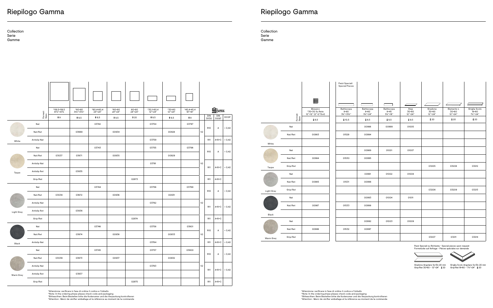## Nat/Ret 03674 00938 00933 Nat/Ret | 03039 | 03673 | | 00937 | | | 00932 Antislip Nat 03763 Antislip Ret 03837 \*Attenzione: verificare in fase di ordine il codice e l'imballo \*Note: In the ordering phase please check code and packaging<br>\*Bitteacthen: Beim Bestellen bitte die Kodenumer und die Verpackung kontrollieren<br>\*Attention : Merci de vérifier emballage et la référence au moment de la comman

|            |                     | *119,5×119,5<br>471%"×471% | *80×80<br>$31\frac{1}{2}$ * $31\frac{1}{2}$ " | $*60,4*60,4$<br>24"×24" | *60×60<br>24"×24" | 60×60<br>24"×24" | *30,1×60,4<br>$12"*24"$ | *30×60<br>12"×24" | $*45,4*45,4$<br>18"×18" |                |              | $\mathbf{\Omega}$ UPEC                           |                  |       |        |
|------------|---------------------|----------------------------|-----------------------------------------------|-------------------------|-------------------|------------------|-------------------------|-------------------|-------------------------|----------------|--------------|--------------------------------------------------|------------------|-------|--------|
|            | Formati<br>Sizes    | $\frac{1}{4}9$             | $\frac{1}{4}9,5$                              | $\frac{1}{4}9,5$        | $\frac{1}{4}9,5$  | $\frac{1}{2}$ 20 | $\frac{1}{4}9,5$        | $\frac{1}{4}9,5$  | $\frac{1}{4}9$          |                | DIN<br>51130 | <b>DIN</b><br>51097                              | <b>DCOF</b>      |       |        |
|            | Nat                 |                            |                                               | 03742                   |                   |                  | 03754                   |                   | 03797                   |                |              |                                                  |                  |       |        |
|            | Nat/Ret             |                            | 03669                                         |                         | 00934             |                  |                         | 00928             |                         | V <sub>2</sub> | <b>R10</b>   | А                                                | > 0,42           |       |        |
| White      | Antislip Nat        |                            |                                               |                         |                   |                  | 03759                   |                   |                         |                | <b>R11</b>   | A+B+C                                            | > 0,42           |       |        |
|            | Nat                 |                            |                                               | 03743                   |                   |                  | 03755                   |                   | 03798                   | V <sub>2</sub> | <b>R10</b>   |                                                  | > 0,42           |       |        |
|            | Nat/Ret             | 03037                      | 03671                                         |                         | 00935             |                  |                         | 00929             |                         |                |              |                                                  | А                |       |        |
|            | Antislip Nat        |                            |                                               |                         |                   |                  | 03761                   |                   |                         |                |              |                                                  | <b>R11</b>       | A+B+C | > 0,42 |
| Taupe      | Antislip Ret        |                            | 03835                                         |                         |                   |                  |                         |                   |                         |                |              |                                                  |                  |       |        |
|            | Grip/Ret            |                            |                                               |                         |                   | 02973            |                         |                   |                         |                | <b>R11</b>   | $A+B+C$                                          |                  |       |        |
|            | Nat                 |                            |                                               | 03744                   |                   |                  | 03756                   |                   | 03799                   |                | <b>R10</b>   |                                                  | > 0,42<br>> 0,42 |       |        |
|            | Nat/Ret             | 03038                      | 03672                                         |                         | 00936             |                  |                         | 00931             |                         |                |              | А                                                |                  |       |        |
|            | Antislip Nat        |                            |                                               |                         |                   |                  | 03762                   |                   |                         | V <sub>2</sub> |              |                                                  |                  |       |        |
| Light Grey | Antislip Ret        |                            | 03836                                         |                         |                   |                  |                         |                   |                         |                | <b>R11</b>   | A+B+C                                            |                  |       |        |
|            | Grip/Ret            |                            |                                               |                         |                   | 02974            |                         |                   |                         |                | <b>R11</b>   | A+B+C                                            |                  |       |        |
|            | Nat                 |                            |                                               | 03746                   |                   |                  | 03758                   |                   | 03801                   |                |              |                                                  | > 0,42           |       |        |
|            | Nat/Ret             |                            | 03674                                         |                         | 00938             |                  |                         | 00933             |                         | V <sub>2</sub> | <b>R10</b>   | А                                                |                  |       |        |
| Black      | Antislip Nat        |                            |                                               |                         |                   |                  | 03764                   |                   |                         |                | <b>R11</b>   | $A+B+C$                                          | > 0,42           |       |        |
|            | Nat                 |                            |                                               | 03745                   |                   |                  | 03757                   |                   | 03800                   |                |              |                                                  |                  |       |        |
|            | Nat/Ret             | 03039                      | 03673                                         |                         | 00937             |                  |                         | 00932             |                         |                | <b>R10</b>   | А                                                | > 0,42           |       |        |
|            | <b>Antislip Nat</b> |                            |                                               |                         |                   |                  | 03763                   |                   |                         | V <sub>2</sub> |              |                                                  |                  |       |        |
| Warm Grey  | Antislip Ret        |                            | 03837                                         |                         |                   |                  |                         |                   |                         |                | <b>R11</b>   | A+B+C                                            | > 0,42           |       |        |
|            | Grip/Ret            |                            |                                               |                         |                   | 02975            |                         |                   |                         |                | <b>R11</b>   | $\mathsf{A}\text{+}\mathsf{B}\text{+}\mathsf{C}$ |                  |       |        |

![](_page_5_Figure_6.jpeg)

|                  |                                                 | Pezzi Speciali<br>Special Pieces        |                                       |                                        |                          |                             |                                |                                      |
|------------------|-------------------------------------------------|-----------------------------------------|---------------------------------------|----------------------------------------|--------------------------|-----------------------------|--------------------------------|--------------------------------------|
|                  |                                                 |                                         |                                       |                                        |                          |                             |                                |                                      |
|                  | Mosaico<br>*30×30 Su Rete<br>12"×12" (2"×2"Dot) | Battiscopa<br>$8\times80$<br>31%"×311%" | Battiscopa<br>$8\times60$<br>31%"×24" | Battiscopa<br>$8\times 45$<br>31%"×18" | Step<br>30×60<br>12"×24" | Gradone<br>30×60<br>12"×24" | Elemento L<br>30×60<br>12"×24" | Griglia Scolo<br>18 × 60<br>71%"×24" |
| Formati<br>Sizes | $\frac{1}{4}9,5$                                | $\frac{1}{4}$ 10,5                      | $\frac{1}{4}9,5$                      | $\frac{1}{4}9,5$                       | $\frac{1}{4}9,5$         | $\frac{1}{4}$ 20            | $\frac{1}{4}$ 20               | $\frac{1}{4}$ 20                     |
| Nat              |                                                 |                                         | 00988                                 | 00999                                  | 01005                    |                             |                                |                                      |
| Nat/Ret          | 00983                                           | 01529                                   | 00994                                 |                                        |                          |                             |                                |                                      |
|                  |                                                 |                                         |                                       |                                        |                          |                             |                                |                                      |
| Nat              |                                                 |                                         | 00989                                 | 01001                                  | 01007                    |                             |                                |                                      |
| Nat/Ret          | 00984                                           | 01530                                   | 00995                                 |                                        |                          |                             |                                |                                      |
| Grip/Ret         |                                                 |                                         |                                       |                                        |                          | 03205                       | 03208                          | 03212                                |
| Nat              |                                                 |                                         | 00991                                 | 01002                                  | 01008                    |                             |                                |                                      |
| Nat/Ret          | 00985                                           | 01531                                   | 00996                                 |                                        |                          |                             |                                |                                      |
| Grip/Ret         |                                                 |                                         |                                       |                                        |                          | 03206                       | 03209                          | 03213                                |
| Nat              |                                                 |                                         | 00993                                 | 01004                                  | 01011                    |                             |                                |                                      |
| Nat/Ret          | 00987                                           | 01533                                   | 00998                                 |                                        |                          |                             |                                |                                      |
|                  |                                                 |                                         |                                       |                                        |                          |                             |                                |                                      |
| Nat              |                                                 |                                         | 00992                                 | 01003                                  | 01009                    |                             |                                |                                      |
| Nat/Ret          | 00986                                           | 01532                                   | 00997                                 |                                        |                          |                             |                                |                                      |
| Grip/Ret         |                                                 |                                         |                                       |                                        |                          | 03207                       | 03211                          | 03214                                |

### Riepilogo Gamma

Collection Serie Gamme

Collection Serie Gamme

![](_page_5_Figure_4.jpeg)

Pezzi Speciali su Richiesta - Special pieces upon request Formstücke auf Anfrage - Pièces spéciales sur demande

Gradone Angolare Sx/Dx 20 mm Griglia Scolo Angolare Sx/Dx 20 mm<br>Grip/Ret 30×60 - 12"×24" : そ20 Grip/Ret 18×60 - 7½"×24" : そ20